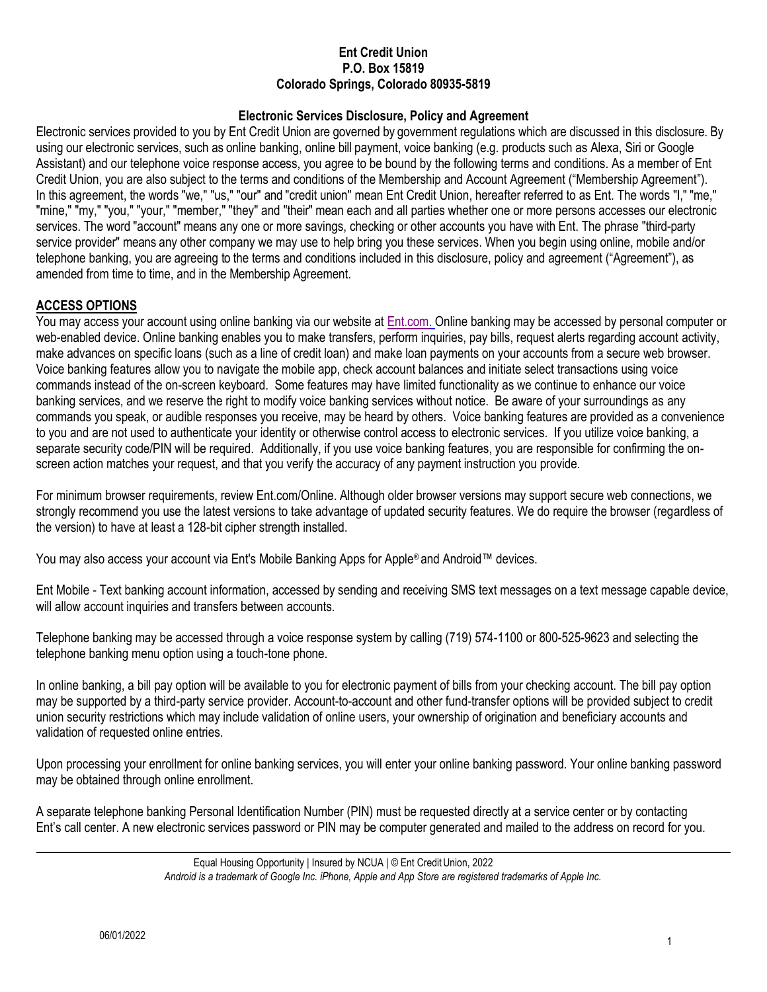#### **Ent Credit Union P.O. Box 15819 Colorado Springs, Colorado 80935-5819**

#### **Electronic Services Disclosure, Policy and Agreement**

 services. The word "account" means any one or more savings, checking or other accounts you have with Ent. The phrase "third-party Electronic services provided to you by Ent Credit Union are governed by government regulations which are discussed in this disclosure. By using our electronic services, such as online banking, online bill payment, voice banking (e.g. products such as Alexa, Siri or Google Assistant) and our telephone voice response access, you agree to be bound by the following terms and conditions. As a member of Ent Credit Union, you are also subject to the terms and conditions of the Membership and Account Agreement ("Membership Agreement"). In this agreement, the words "we," "us," "our" and "credit union" mean Ent Credit Union, hereafter referred to as Ent. The words "I," "me," "mine," "my," "you," "your," "member," "they" and "their" mean each and all parties whether one or more persons accesses our electronic service provider" means any other company we may use to help bring you these services. When you begin using online, mobile and/or telephone banking, you are agreeing to the terms and conditions included in this disclosure, policy and agreement ("Agreement"), as amended from time to time, and in the Membership Agreement.

## **ACCESS OPTIONS**

You may access your account using online banking via our website at *Ent.com.* Online banking may be accessed by personal computer or web-enabled device. Online banking enables you to make transfers, perform inquiries, pay bills, request alerts regarding account activity, make advances on specific loans (such as a line of credit loan) and make loan payments on your accounts from a secure web browser. Voice banking features allow you to navigate the mobile app, check account balances and initiate select transactions using voice commands instead of the on-screen keyboard. Some features may have limited functionality as we continue to enhance our voice banking services, and we reserve the right to modify voice banking services without notice. Be aware of your surroundings as any commands you speak, or audible responses you receive, may be heard by others. Voice banking features are provided as a convenience to you and are not used to authenticate your identity or otherwise control access to electronic services. If you utilize voice banking, a separate security code/PIN will be required. Additionally, if you use voice banking features, you are responsible for confirming the onscreen action matches your request, and that you verify the accuracy of any payment instruction you provide.

For minimum browser requirements, review [Ent.com/Online.](https://Ent.com/Online) Although older browser versions may support secure web connections, we strongly recommend you use the latest versions to take advantage of updated security features. We do require the browser (regardless of the version) to have at least a 128-bit cipher strength installed.

You may also access your account via Ent's Mobile Banking Apps for Apple® and Android™ devices.

Ent Mobile - Text banking account information, accessed by sending and receiving SMS text messages on a text message capable device, will allow account inquiries and transfers between accounts.

Telephone banking may be accessed through a voice response system by calling (719) 574-1100 or 800-525-9623 and selecting the telephone banking menu option using a touch-tone phone.

In online banking, a bill pay option will be available to you for electronic payment of bills from your checking account. The bill pay option may be supported by a third-party service provider. Account-to-account and other fund-transfer options will be provided subject to credit union security restrictions which may include validation of online users, your ownership of origination and beneficiary accounts and validation of requested online entries.

Upon processing your enrollment for online banking services, you will enter your online banking password. Your online banking password may be obtained through online enrollment.

A separate telephone banking Personal Identification Number (PIN) must be requested directly at a service center or by contacting Ent's call center. A new electronic services password or PIN may be computer generated and mailed to the address on record for you.

Equal Housing Opportunity | Insured by NCUA | © Ent Credit Union, 2022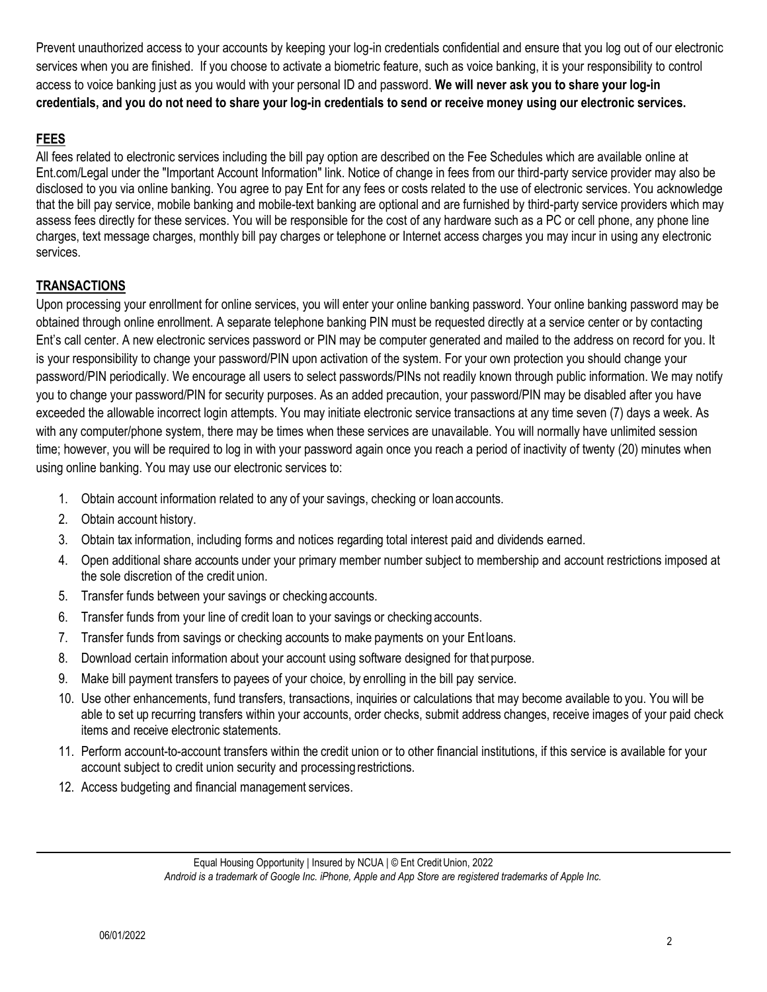Prevent unauthorized access to your accounts by keeping your log-in credentials confidential and ensure that you log out of our electronic services when you are finished. If you choose to activate a biometric feature, such as voice banking, it is your responsibility to control access to voice banking just as you would with your personal ID and password. **We will never ask you to share your log-in credentials, and you do not need to share your log-in credentials to send or receive money using our electronic services.** 

# **FEES**

 charges, text message charges, monthly bill pay charges or telephone or Internet access charges you may incur in using any electronic All fees related to electronic services including the bill pay option are described on the Fee Schedules which are available online at [Ent.com/Legal](https://Ent.com/Legal) under the "Important Account Information" link. Notice of change in fees from our third-party service provider may also be disclosed to you via online banking. You agree to pay Ent for any fees or costs related to the use of electronic services. You acknowledge that the bill pay service, mobile banking and mobile-text banking are optional and are furnished by third-party service providers which may assess fees directly for these services. You will be responsible for the cost of any hardware such as a PC or cell phone, any phone line services.

# **TRANSACTIONS**

Upon processing your enrollment for online services, you will enter your online banking password. Your online banking password may be obtained through online enrollment. A separate telephone banking PIN must be requested directly at a service center or by contacting Ent's call center. A new electronic services password or PIN may be computer generated and mailed to the address on record for you. It is your responsibility to change your password/PIN upon activation of the system. For your own protection you should change your password/PIN periodically. We encourage all users to select passwords/PINs not readily known through public information. We may notify you to change your password/PIN for security purposes. As an added precaution, your password/PIN may be disabled after you have exceeded the allowable incorrect login attempts. You may initiate electronic service transactions at any time seven (7) days a week. As with any computer/phone system, there may be times when these services are unavailable. You will normally have unlimited session time; however, you will be required to log in with your password again once you reach a period of inactivity of twenty (20) minutes when using online banking. You may use our electronic services to:

- 1. Obtain account information related to any of your savings, checking or loan accounts.
- 2. Obtain account history.
- 3. Obtain tax information, including forms and notices regarding total interest paid and dividends earned.
- 4. Open additional share accounts under your primary member number subject to membership and account restrictions imposed at the sole discretion of the credit union.
- 5. Transfer funds between your savings or checking accounts.
- 6. Transfer funds from your line of credit loan to your savings or checking accounts.
- 7. Transfer funds from savings or checking accounts to make payments on your Ent loans.
- 8. Download certain information about your account using software designed for that purpose.
- 9. Make bill payment transfers to payees of your choice, by enrolling in the bill pay service.
- 10. Use other enhancements, fund transfers, transactions, inquiries or calculations that may become available to you. You will be able to set up recurring transfers within your accounts, order checks, submit address changes, receive images of your paid check items and receive electronic statements.
- 11. Perform account-to-account transfers within the credit union or to other financial institutions, if this service is available for your account subject to credit union security and processing restrictions.
- 12. Access budgeting and financial management services.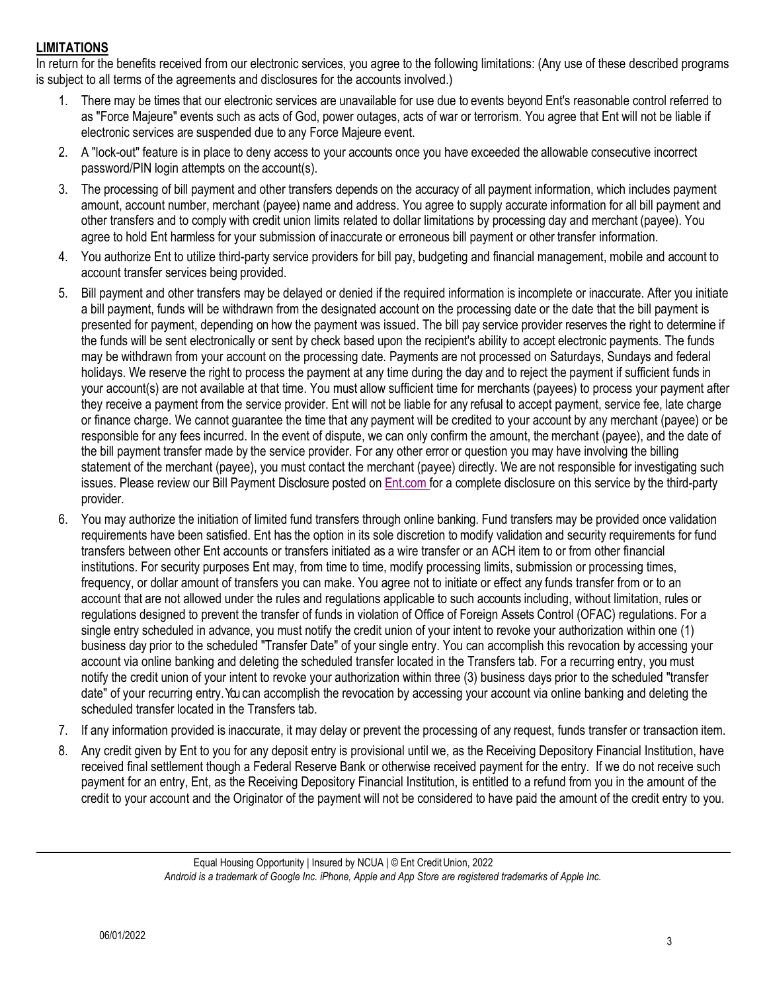# **LIMITATIONS**

In return for the benefits received from our electronic services, you agree to the following limitations: (Any use of these described programs is subject to all terms of the agreements and disclosures for the accounts involved.)

- electronic services are suspended due to any Force Majeure event. 1. There may be times that our electronic services are unavailable for use due to events beyond Ent's reasonable control referred to as "Force Majeure" events such as acts of God, power outages, acts of war or terrorism. You agree that Ent will not be liable if
- 2. A "lock-out" feature is in place to deny access to your accounts once you have exceeded the allowable consecutive incorrect password/PIN login attempts on the account(s).
- other transfers and to comply with credit union limits related to dollar limitations by processing day and merchant (payee). You 3. The processing of bill payment and other transfers depends on the accuracy of all payment information, which includes payment amount, account number, merchant (payee) name and address. You agree to supply accurate information for all bill payment and agree to hold Ent harmless for your submission of inaccurate or erroneous bill payment or other transfer information.
- 4. You authorize Ent to utilize third-party service providers for bill pay, budgeting and financial management, mobile and account to account transfer services being provided.
- holidays. We reserve the right to process the payment at any time during the day and to reject the payment if sufficient funds in or finance charge. We cannot guarantee the time that any payment will be credited to your account by any merchant (payee) or be responsible for any fees incurred. In the event of dispute, we can only confirm the amount, the merchant (payee), and the date of issues. Please review our Bill Payment Disclosure posted on **Ent.com for a complete disclosure on this service** by the third-party 5. Bill payment and other transfers may be delayed or denied if the required information is incomplete or inaccurate. After you initiate a bill payment, funds will be withdrawn from the designated account on the processing date or the date that the bill payment is presented for payment, depending on how the payment was issued. The bill pay service provider reserves the right to determine if the funds will be sent electronically or sent by check based upon the recipient's ability to accept electronic payments. The funds may be withdrawn from your account on the processing date. Payments are not processed on Saturdays, Sundays and federal your account(s) are not available at that time. You must allow sufficient time for merchants (payees) to process your payment after they receive a payment from the service provider. Ent will not be liable for any refusal to accept payment, service fee, late charge the bill payment transfer made by the service provider. For any other error or question you may have involving the billing statement of the merchant (payee), you must contact the merchant (payee) directly. We are not responsible for investigating such provider.
- business day prior to the scheduled "Transfer Date" of your single entry. You can accomplish this revocation by accessing your 6. You may authorize the initiation of limited fund transfers through online banking. Fund transfers may be provided once validation requirements have been satisfied. Ent has the option in its sole discretion to modify validation and security requirements for fund transfers between other Ent accounts or transfers initiated as a wire transfer or an ACH item to or from other financial institutions. For security purposes Ent may, from time to time, modify processing limits, submission or processing times, frequency, or dollar amount of transfers you can make. You agree not to initiate or effect any funds transfer from or to an account that are not allowed under the rules and regulations applicable to such accounts including, without limitation, rules or regulations designed to prevent the transfer of funds in violation of Office of Foreign Assets Control (OFAC) regulations. For a single entry scheduled in advance, you must notify the credit union of your intent to revoke your authorization within one (1) account via online banking and deleting the scheduled transfer located in the Transfers tab. For a recurring entry, you must notify the credit union of your intent to revoke your authorization within three (3) business days prior to the scheduled "transfer date" of your recurring entry. You can accomplish the revocation by accessing your account via online banking and deleting the scheduled transfer located in the Transfers tab.
- 7. If any information provided is inaccurate, it may delay or prevent the processing of any request, funds transfer or transaction item.
- 8. Any credit given by Ent to you for any deposit entry is provisional until we, as the Receiving Depository Financial Institution, have received final settlement though a Federal Reserve Bank or otherwise received payment for the entry. If we do not receive such payment for an entry, Ent, as the Receiving Depository Financial Institution, is entitled to a refund from you in the amount of the credit to your account and the Originator of the payment will not be considered to have paid the amount of the credit entry to you.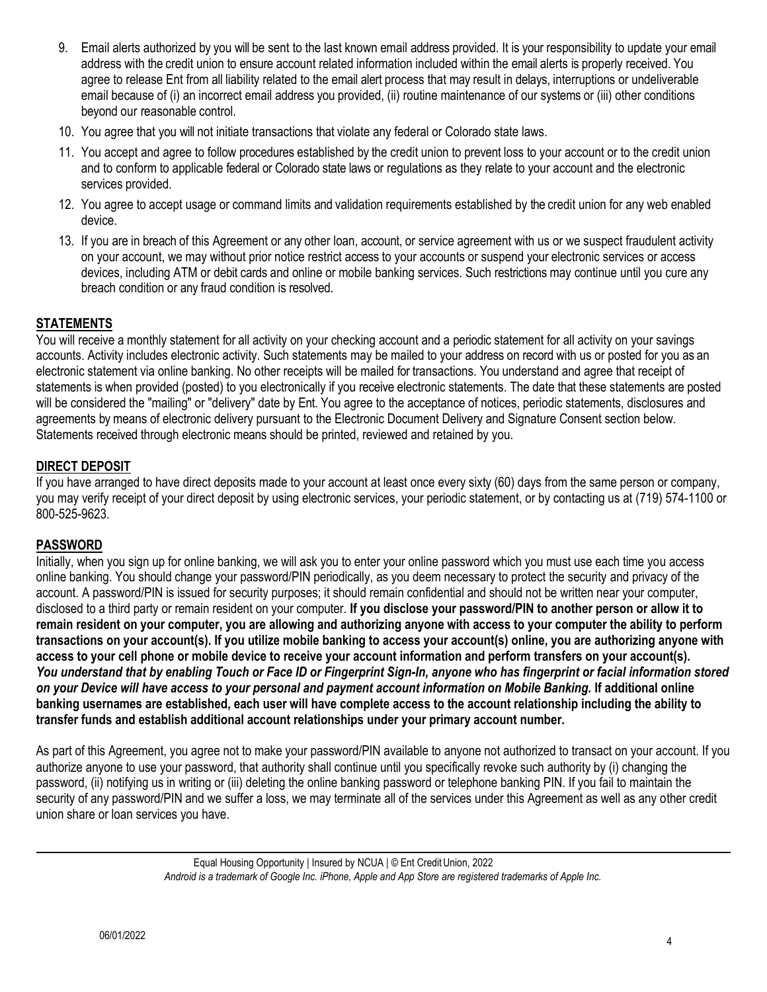- 9. Email alerts authorized by you will be sent to the last known email address provided. It is your responsibility to update your email agree to release Ent from all liability related to the email alert process that may result in delays, interruptions or undeliverable email because of (i) an incorrect email address you provided, (ii) routine maintenance of our systems or (iii) other conditions address with the credit union to ensure account related information included within the email alerts is properly received. You beyond our reasonable control.
- 10. You agree that you will not initiate transactions that violate any federal or Colorado state laws.
- and to conform to applicable federal or Colorado state laws or regulations as they relate to your account and the electronic 11. You accept and agree to follow procedures established by the credit union to prevent loss to your account or to the credit union services provided.
- 12. You agree to accept usage or command limits and validation requirements established by the credit union for any web enabled device.
- on your account, we may without prior notice restrict access to your accounts or suspend your electronic services or access 13. If you are in breach of this Agreement or any other loan, account, or service agreement with us or we suspect fraudulent activity devices, including ATM or debit cards and online or mobile banking services. Such restrictions may continue until you cure any breach condition or any fraud condition is resolved.

# **STATEMENTS**

 accounts. Activity includes electronic activity. Such statements may be mailed to your address on record with us or posted for you as an electronic statement via online banking. No other receipts will be mailed for transactions. You understand and agree that receipt of will be considered the "mailing" or "delivery" date by Ent. You agree to the acceptance of notices, periodic statements, disclosures and You will receive a monthly statement for all activity on your checking account and a periodic statement for all activity on your savings statements is when provided (posted) to you electronically if you receive electronic statements. The date that these statements are posted agreements by means of electronic delivery pursuant to the Electronic Document Delivery and Signature Consent section below. Statements received through electronic means should be printed, reviewed and retained by you.

## **DIRECT DEPOSIT**

If you have arranged to have direct deposits made to your account at least once every sixty (60) days from the same person or company, you may verify receipt of your direct deposit by using electronic services, your periodic statement, or by contacting us at (719) 574-1100 or 800-525-9623.

#### **PASSWORD**

 **access to your cell phone or mobile device to receive your account information and perform transfers on your account(s).**  Initially, when you sign up for online banking, we will ask you to enter your online password which you must use each time you access online banking. You should change your password/PIN periodically, as you deem necessary to protect the security and privacy of the account. A password/PIN is issued for security purposes; it should remain confidential and should not be written near your computer, disclosed to a third party or remain resident on your computer. **If you disclose your password/PIN to another person or allow it to remain resident on your computer, you are allowing and authorizing anyone with access to your computer the ability to perform transactions on your account(s). If you utilize mobile banking to access your account(s) online, you are authorizing anyone with**  *You understand that by enabling Touch or Face ID or Fingerprint Sign-In, anyone who has fingerprint or facial information stored on your Device will have access to your personal and payment account information on Mobile Banking.* **If additional online banking usernames are established, each user will have complete access to the account relationship including the ability to transfer funds and establish additional account relationships under your primary account number.** 

As part of this Agreement, you agree not to make your password/PIN available to anyone not authorized to transact on your account. If you authorize anyone to use your password, that authority shall continue until you specifically revoke such authority by (i) changing the password, (ii) notifying us in writing or (iii) deleting the online banking password or telephone banking PIN. If you fail to maintain the security of any password/PIN and we suffer a loss, we may terminate all of the services under this Agreement as well as any other credit union share or loan services you have.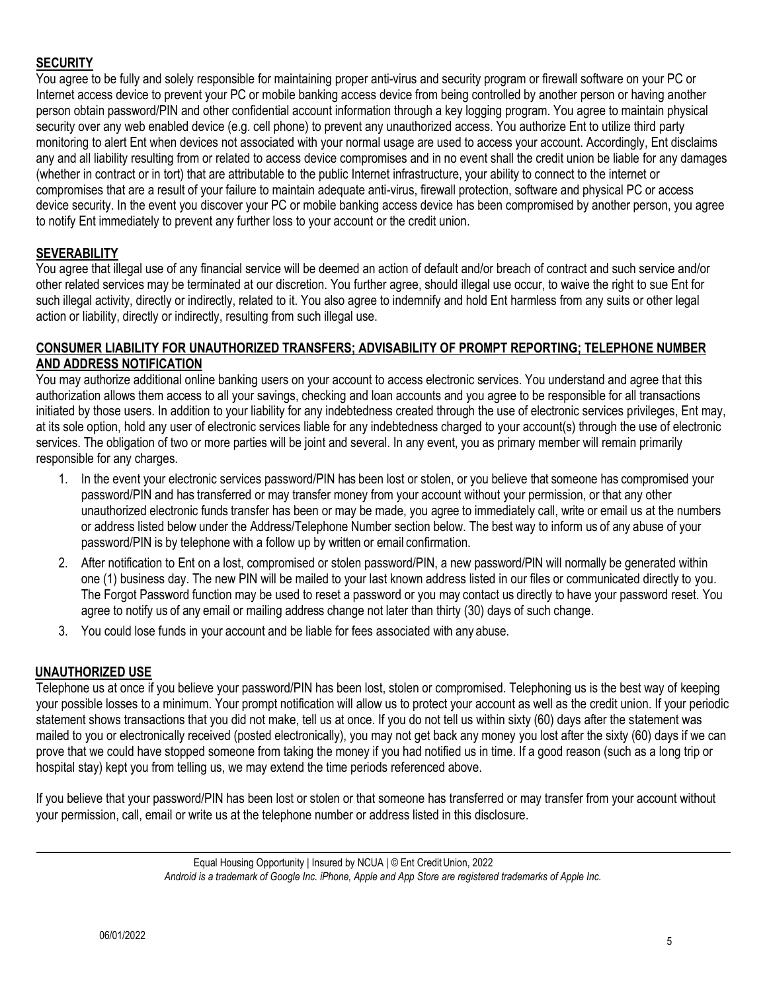## **SECURITY**

 any and all liability resulting from or related to access device compromises and in no event shall the credit union be liable for any damages You agree to be fully and solely responsible for maintaining proper anti-virus and security program or firewall software on your PC or Internet access device to prevent your PC or mobile banking access device from being controlled by another person or having another person obtain password/PIN and other confidential account information through a key logging program. You agree to maintain physical security over any web enabled device (e.g. cell phone) to prevent any unauthorized access. You authorize Ent to utilize third party monitoring to alert Ent when devices not associated with your normal usage are used to access your account. Accordingly, Ent disclaims (whether in contract or in tort) that are attributable to the public Internet infrastructure, your ability to connect to the internet or compromises that are a result of your failure to maintain adequate anti-virus, firewall protection, software and physical PC or access device security. In the event you discover your PC or mobile banking access device has been compromised by another person, you agree to notify Ent immediately to prevent any further loss to your account or the credit union.

# **SEVERABILITY**

 other related services may be terminated at our discretion. You further agree, should illegal use occur, to waive the right to sue Ent for You agree that illegal use of any financial service will be deemed an action of default and/or breach of contract and such service and/or such illegal activity, directly or indirectly, related to it. You also agree to indemnify and hold Ent harmless from any suits or other legal action or liability, directly or indirectly, resulting from such illegal use.

#### **CONSUMER LIABILITY FOR UNAUTHORIZED TRANSFERS; ADVISABILITY OF PROMPT REPORTING; TELEPHONE NUMBER AND ADDRESS NOTIFICATION**

You may authorize additional online banking users on your account to access electronic services. You understand and agree that this authorization allows them access to all your savings, checking and loan accounts and you agree to be responsible for all transactions initiated by those users. In addition to your liability for any indebtedness created through the use of electronic services privileges, Ent may, at its sole option, hold any user of electronic services liable for any indebtedness charged to your account(s) through the use of electronic services. The obligation of two or more parties will be joint and several. In any event, you as primary member will remain primarily responsible for any charges.

- unauthorized electronic funds transfer has been or may be made, you agree to immediately call, write or email us at the numbers 1. In the event your electronic services password/PIN has been lost or stolen, or you believe that someone has compromised your password/PIN and has transferred or may transfer money from your account without your permission, or that any other or address listed below under the Address/Telephone Number section below. The best way to inform us of any abuse of your password/PIN is by telephone with a follow up by written or email confirmation.
- 2. After notification to Ent on a lost, compromised or stolen password/PIN, a new password/PIN will normally be generated within one (1) business day. The new PIN will be mailed to your last known address listed in our files or communicated directly to you. The Forgot Password function may be used to reset a password or you may contact us directly to have your password reset. You agree to notify us of any email or mailing address change not later than thirty (30) days of such change.
- 3. You could lose funds in your account and be liable for fees associated with any abuse.

#### **UNAUTHORIZED USE**

 mailed to you or electronically received (posted electronically), you may not get back any money you lost after the sixty (60) days if we can Telephone us at once if you believe your password/PIN has been lost, stolen or compromised. Telephoning us is the best way of keeping your possible losses to a minimum. Your prompt notification will allow us to protect your account as well as the credit union. If your periodic statement shows transactions that you did not make, tell us at once. If you do not tell us within sixty (60) days after the statement was prove that we could have stopped someone from taking the money if you had notified us in time. If a good reason (such as a long trip or hospital stay) kept you from telling us, we may extend the time periods referenced above.

If you believe that your password/PIN has been lost or stolen or that someone has transferred or may transfer from your account without your permission, call, email or write us at the telephone number or address listed in this disclosure.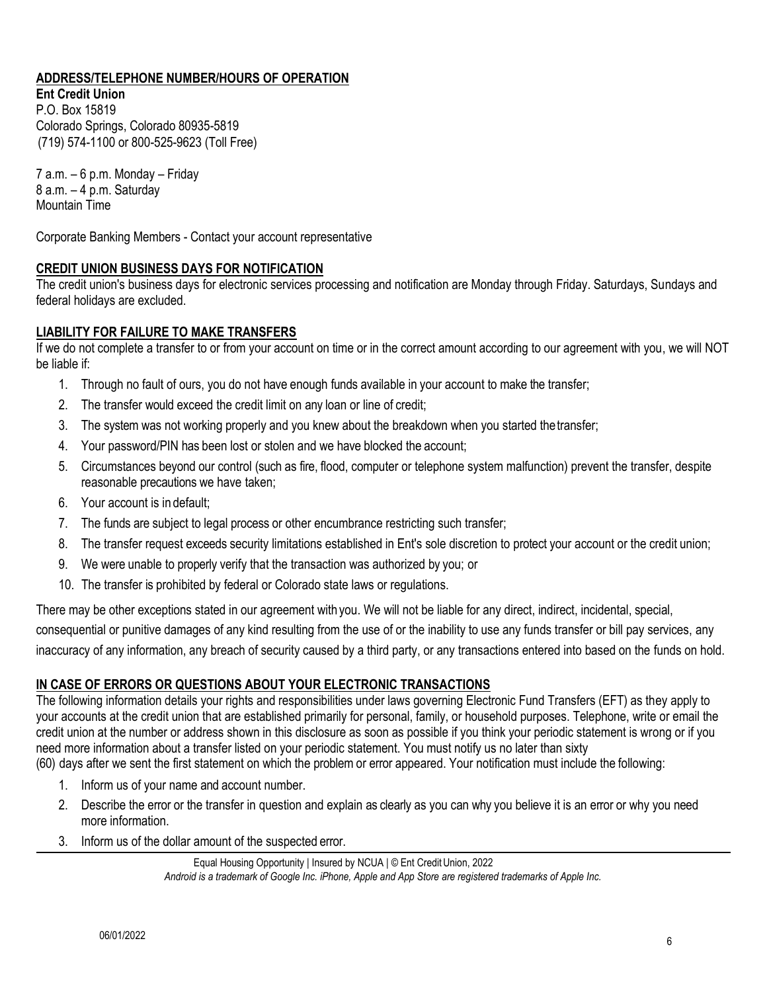# **ADDRESS/TELEPHONE NUMBER/HOURS OF OPERATION**

**Ent Credit Union**  P.O. Box 15819 Colorado Springs, Colorado 80935-5819 (719) 574-1100 or 800-525-9623 (Toll Free)

7 a.m. – 6 p.m. Monday – Friday 8 a.m. – 4 p.m. Saturday Mountain Time

Corporate Banking Members - Contact your account representative

## **CREDIT UNION BUSINESS DAYS FOR NOTIFICATION**

The credit union's business days for electronic services processing and notification are Monday through Friday. Saturdays, Sundays and federal holidays are excluded.

#### **LIABILITY FOR FAILURE TO MAKE TRANSFERS**

If we do not complete a transfer to or from your account on time or in the correct amount according to our agreement with you, we will NOT be liable if:

- 1. Through no fault of ours, you do not have enough funds available in your account to make the transfer;
- 2. The transfer would exceed the credit limit on any loan or line of credit;
- 3. The system was not working properly and you knew about the breakdown when you started thetransfer;
- 4. Your password/PIN has been lost or stolen and we have blocked the account;
- 5. Circumstances beyond our control (such as fire, flood, computer or telephone system malfunction) prevent the transfer, despite reasonable precautions we have taken;
- 6. Your account is in default;
- 7. The funds are subject to legal process or other encumbrance restricting such transfer;
- 8. The transfer request exceeds security limitations established in Ent's sole discretion to protect your account or the credit union;
- 9. We were unable to properly verify that the transaction was authorized by you; or
- 10. The transfer is prohibited by federal or Colorado state laws or regulations.

There may be other exceptions stated in our agreement with you. We will not be liable for any direct, indirect, incidental, special,

consequential or punitive damages of any kind resulting from the use of or the inability to use any funds transfer or bill pay services, any inaccuracy of any information, any breach of security caused by a third party, or any transactions entered into based on the funds on hold.

## **IN CASE OF ERRORS OR QUESTIONS ABOUT YOUR ELECTRONIC TRANSACTIONS**

The following information details your rights and responsibilities under laws governing Electronic Fund Transfers (EFT) as they apply to your accounts at the credit union that are established primarily for personal, family, or household purposes. Telephone, write or email the credit union at the number or address shown in this disclosure as soon as possible if you think your periodic statement is wrong or if you need more information about a transfer listed on your periodic statement. You must notify us no later than sixty (60) days after we sent the first statement on which the problem or error appeared. Your notification must include the following:

- 1. Inform us of your name and account number.
- 2. Describe the error or the transfer in question and explain as clearly as you can why you believe it is an error or why you need more information.
- 3. Inform us of the dollar amount of the suspected error.

Equal Housing Opportunity | Insured by NCUA | © Ent Credit Union, 2022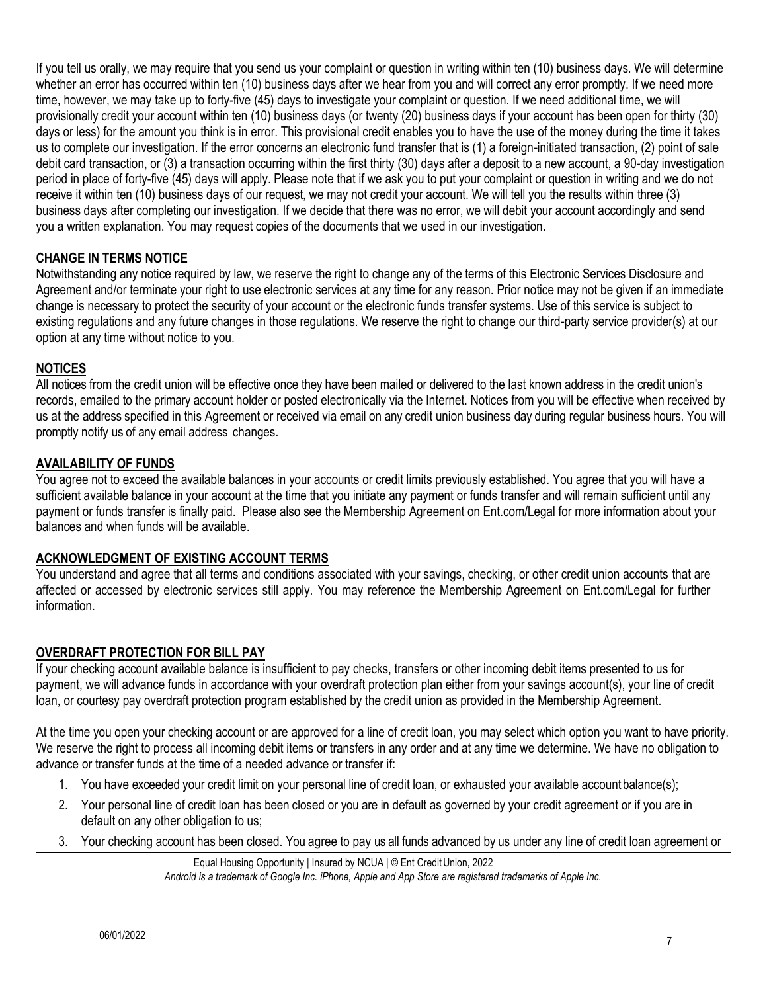whether an error has occurred within ten (10) business days after we hear from you and will correct any error promptly. If we need more If you tell us orally, we may require that you send us your complaint or question in writing within ten (10) business days. We will determine time, however, we may take up to forty-five (45) days to investigate your complaint or question. If we need additional time, we will provisionally credit your account within ten (10) business days (or twenty (20) business days if your account has been open for thirty (30) days or less) for the amount you think is in error. This provisional credit enables you to have the use of the money during the time it takes us to complete our investigation. If the error concerns an electronic fund transfer that is (1) a foreign-initiated transaction, (2) point of sale debit card transaction, or (3) a transaction occurring within the first thirty (30) days after a deposit to a new account, a 90-day investigation period in place of forty-five (45) days will apply. Please note that if we ask you to put your complaint or question in writing and we do not receive it within ten (10) business days of our request, we may not credit your account. We will tell you the results within three (3) business days after completing our investigation. If we decide that there was no error, we will debit your account accordingly and send you a written explanation. You may request copies of the documents that we used in our investigation.

# **CHANGE IN TERMS NOTICE**

Notwithstanding any notice required by law, we reserve the right to change any of the terms of this Electronic Services Disclosure and Agreement and/or terminate your right to use electronic services at any time for any reason. Prior notice may not be given if an immediate change is necessary to protect the security of your account or the electronic funds transfer systems. Use of this service is subject to existing regulations and any future changes in those regulations. We reserve the right to change our third-party service provider(s) at our option at any time without notice to you.

#### **NOTICES**

 All notices from the credit union will be effective once they have been mailed or delivered to the last known address in the credit union's us at the address specified in this Agreement or received via email on any credit union business day during regular business hours. You will records, emailed to the primary account holder or posted electronically via the Internet. Notices from you will be effective when received by promptly notify us of any email address changes.

#### **AVAILABILITY OF FUNDS**

 You agree not to exceed the available balances in your accounts or credit limits previously established. You agree that you will have a sufficient available balance in your account at the time that you initiate any payment or funds transfer and will remain sufficient until any payment or funds transfer is finally paid. Please also see the Membership Agreement on [Ent.com/Legal](https://Ent.com/Legal) for more information about your balances and when funds will be available.

## **ACKNOWLEDGMENT OF EXISTING ACCOUNT TERMS**

 You understand and agree that all terms and conditions associated with your savings, checking, or other credit union accounts that are affected or accessed by electronic services still apply. You may reference the Membership Agreement on [Ent.com/Legal](https://Ent.com/Legal) for further information.

#### **OVERDRAFT PROTECTION FOR BILL PAY**

If your checking account available balance is insufficient to pay checks, transfers or other incoming debit items presented to us for payment, we will advance funds in accordance with your overdraft protection plan either from your savings account(s), your line of credit loan, or courtesy pay overdraft protection program established by the credit union as provided in the Membership Agreement.

At the time you open your checking account or are approved for a line of credit loan, you may select which option you want to have priority. We reserve the right to process all incoming debit items or transfers in any order and at any time we determine. We have no obligation to advance or transfer funds at the time of a needed advance or transfer if:

- 1. You have exceeded your credit limit on your personal line of credit loan, or exhausted your available account balance(s);
- 2. Your personal line of credit loan has been closed or you are in default as governed by your credit agreement or if you are in default on any other obligation to us;
- 3. Your checking account has been closed. You agree to pay us all funds advanced by us under any line of credit loan agreement or

Equal Housing Opportunity | Insured by NCUA | © Ent Credit Union, 2022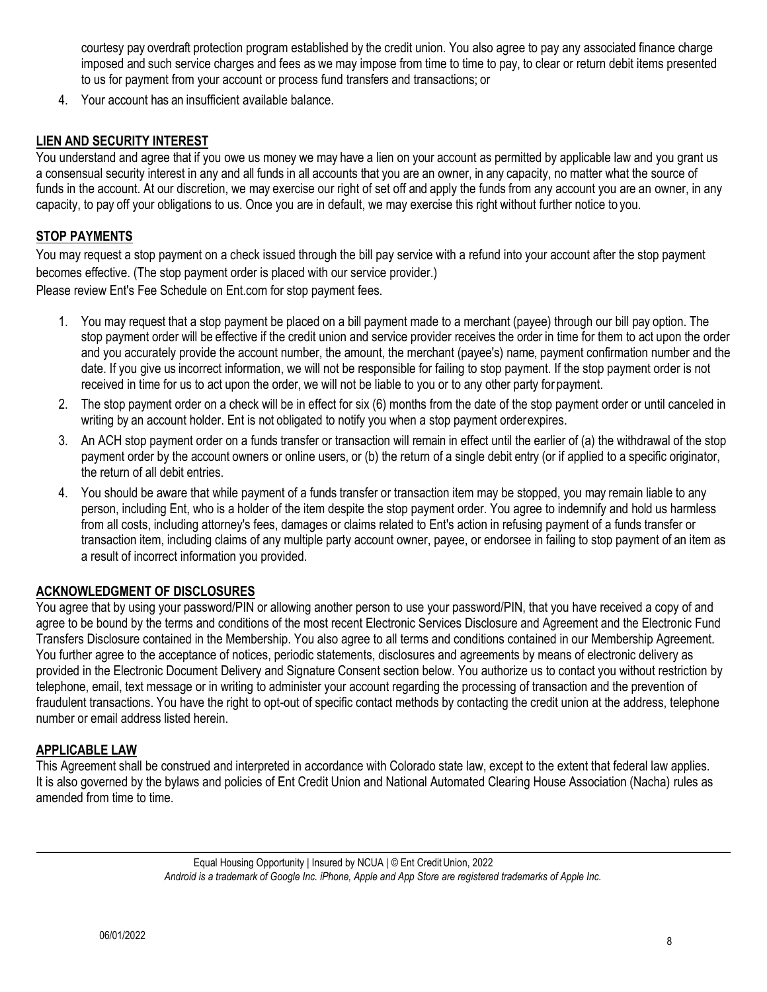courtesy pay overdraft protection program established by the credit union. You also agree to pay any associated finance charge imposed and such service charges and fees as we may impose from time to time to pay, to clear or return debit items presented to us for payment from your account or process fund transfers and transactions; or

4. Your account has an insufficient available balance.

#### **LIEN AND SECURITY INTEREST**

 You understand and agree that if you owe us money we may have a lien on your account as permitted by applicable law and you grant us a consensual security interest in any and all funds in all accounts that you are an owner, in any capacity, no matter what the source of funds in the account. At our discretion, we may exercise our right of set off and apply the funds from any account you are an owner, in any capacity, to pay off your obligations to us. Once you are in default, we may exercise this right without further notice to you.

## **STOP PAYMENTS**

You may request a stop payment on a check issued through the bill pay service with a refund into your account after the stop payment becomes effective. (The stop payment order is placed with our service provider.) Please review Ent's Fee Schedule on Ent.com for stop payment fees.

- 1. You may request that a stop payment be placed on a bill payment made to a merchant (payee) through our bill pay option. The stop payment order will be effective if the credit union and service provider receives the order in time for them to act upon the order and you accurately provide the account number, the amount, the merchant (payee's) name, payment confirmation number and the date. If you give us incorrect information, we will not be responsible for failing to stop payment. If the stop payment order is not received in time for us to act upon the order, we will not be liable to you or to any other party for payment.
- 2. The stop payment order on a check will be in effect for six (6) months from the date of the stop payment order or until canceled in writing by an account holder. Ent is not obligated to notify you when a stop payment orderexpires.
- 3. An ACH stop payment order on a funds transfer or transaction will remain in effect until the earlier of (a) the withdrawal of the stop payment order by the account owners or online users, or (b) the return of a single debit entry (or if applied to a specific originator, the return of all debit entries.
- 4. You should be aware that while payment of a funds transfer or transaction item may be stopped, you may remain liable to any person, including Ent, who is a holder of the item despite the stop payment order. You agree to indemnify and hold us harmless from all costs, including attorney's fees, damages or claims related to Ent's action in refusing payment of a funds transfer or transaction item, including claims of any multiple party account owner, payee, or endorsee in failing to stop payment of an item as a result of incorrect information you provided.

#### **ACKNOWLEDGMENT OF DISCLOSURES**

 You further agree to the acceptance of notices, periodic statements, disclosures and agreements by means of electronic delivery as You agree that by using your password/PIN or allowing another person to use your password/PIN, that you have received a copy of and agree to be bound by the terms and conditions of the most recent Electronic Services Disclosure and Agreement and the Electronic Fund Transfers Disclosure contained in the Membership. You also agree to all terms and conditions contained in our Membership Agreement. provided in the Electronic Document Delivery and Signature Consent section below. You authorize us to contact you without restriction by telephone, email, text message or in writing to administer your account regarding the processing of transaction and the prevention of fraudulent transactions. You have the right to opt-out of specific contact methods by contacting the credit union at the address, telephone number or email address listed herein.

#### **APPLICABLE LAW**

This Agreement shall be construed and interpreted in accordance with Colorado state law, except to the extent that federal law applies. It is also governed by the bylaws and policies of Ent Credit Union and National Automated Clearing House Association (Nacha) rules as amended from time to time.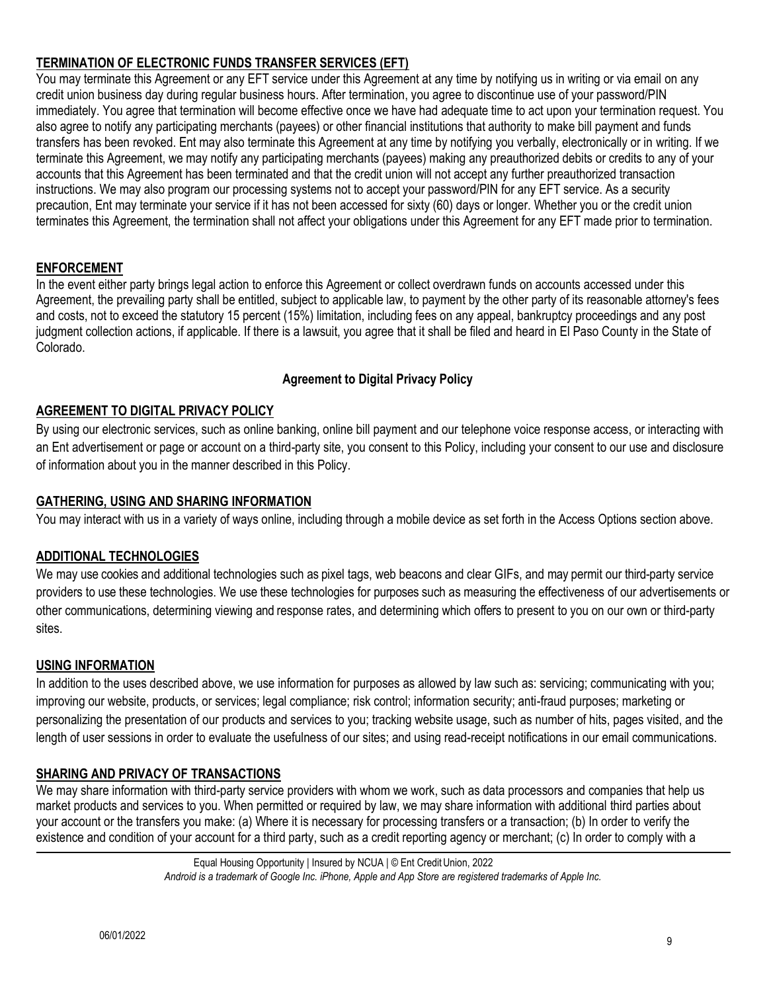# **TERMINATION OF ELECTRONIC FUNDS TRANSFER SERVICES (EFT)**

 also agree to notify any participating merchants (payees) or other financial institutions that authority to make bill payment and funds terminate this Agreement, we may notify any participating merchants (payees) making any preauthorized debits or credits to any of your You may terminate this Agreement or any EFT service under this Agreement at any time by notifying us in writing or via email on any credit union business day during regular business hours. After termination, you agree to discontinue use of your password/PIN immediately. You agree that termination will become effective once we have had adequate time to act upon your termination request. You transfers has been revoked. Ent may also terminate this Agreement at any time by notifying you verbally, electronically or in writing. If we accounts that this Agreement has been terminated and that the credit union will not accept any further preauthorized transaction instructions. We may also program our processing systems not to accept your password/PIN for any EFT service. As a security precaution, Ent may terminate your service if it has not been accessed for sixty (60) days or longer. Whether you or the credit union terminates this Agreement, the termination shall not affect your obligations under this Agreement for any EFT made prior to termination.

## **ENFORCEMENT**

 and costs, not to exceed the statutory 15 percent (15%) limitation, including fees on any appeal, bankruptcy proceedings and any post In the event either party brings legal action to enforce this Agreement or collect overdrawn funds on accounts accessed under this Agreement, the prevailing party shall be entitled, subject to applicable law, to payment by the other party of its reasonable attorney's fees judgment collection actions, if applicable. If there is a lawsuit, you agree that it shall be filed and heard in El Paso County in the State of Colorado.

## **Agreement to Digital Privacy Policy**

#### **AGREEMENT TO DIGITAL PRIVACY POLICY**

 an Ent advertisement or page or account on a third-party site, you consent to this Policy, including your consent to our use and disclosure By using our electronic services, such as online banking, online bill payment and our telephone voice response access, or interacting with of information about you in the manner described in this Policy.

## **GATHERING, USING AND SHARING INFORMATION**

You may interact with us in a variety of ways online, including through a mobile device as set forth in the Access Options section above.

## **ADDITIONAL TECHNOLOGIES**

 We may use cookies and additional technologies such as pixel tags, web beacons and clear GIFs, and may permit our third-party service providers to use these technologies. We use these technologies for purposes such as measuring the effectiveness of our advertisements or other communications, determining viewing and response rates, and determining which offers to present to you on our own or third-party sites.

#### **USING INFORMATION**

In addition to the uses described above, we use information for purposes as allowed by law such as: servicing; communicating with you; improving our website, products, or services; legal compliance; risk control; information security; anti-fraud purposes; marketing or personalizing the presentation of our products and services to you; tracking website usage, such as number of hits, pages visited, and the length of user sessions in order to evaluate the usefulness of our sites; and using read-receipt notifications in our email communications.

## **SHARING AND PRIVACY OF TRANSACTIONS**

We may share information with third-party service providers with whom we work, such as data processors and companies that help us market products and services to you. When permitted or required by law, we may share information with additional third parties about your account or the transfers you make: (a) Where it is necessary for processing transfers or a transaction; (b) In order to verify the existence and condition of your account for a third party, such as a credit reporting agency or merchant; (c) In order to comply with a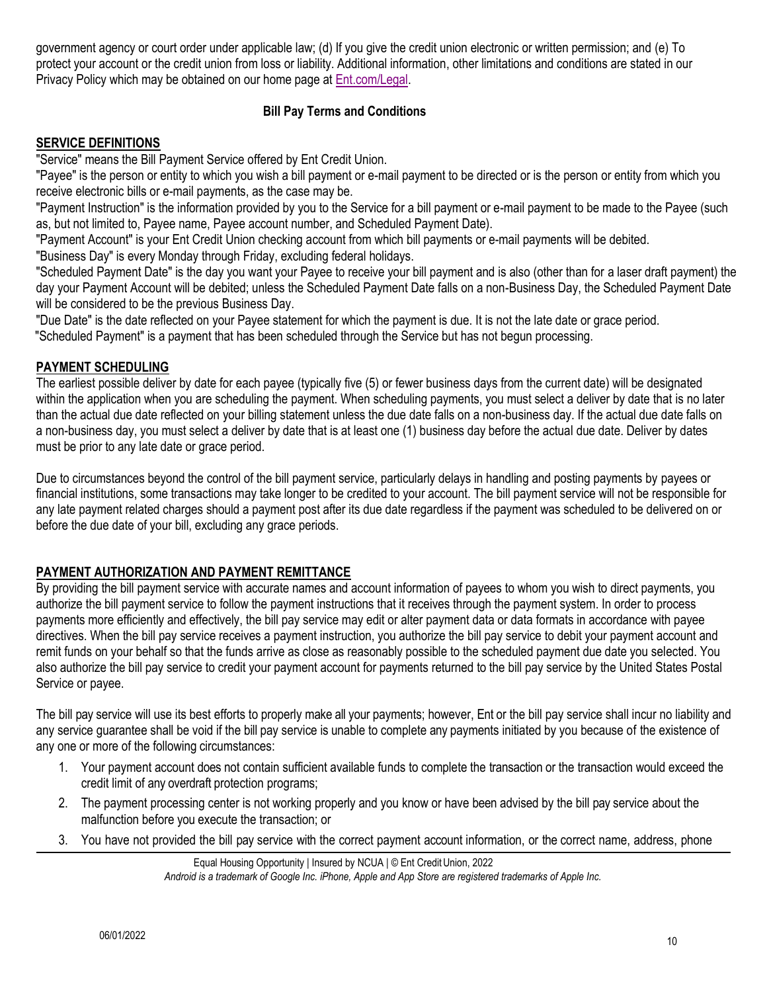government agency or court order under applicable law; (d) If you give the credit union electronic or written permission; and (e) To protect your account or the credit union from loss or liability. Additional information, other limitations and conditions are stated in our Privacy Policy which may be obtained on our home page at [Ent.com/](https://www.ent.com/)Legal.

## **Bill Pay Terms and Conditions**

## **SERVICE DEFINITIONS**

"Service" means the Bill Payment Service offered by Ent Credit Union.

"Payee" is the person or entity to which you wish a bill payment or e-mail payment to be directed or is the person or entity from which you receive electronic bills or e-mail payments, as the case may be.

"Payment Instruction" is the information provided by you to the Service for a bill payment or e-mail payment to be made to the Payee (such as, but not limited to, Payee name, Payee account number, and Scheduled Payment Date).

"Payment Account" is your Ent Credit Union checking account from which bill payments or e-mail payments will be debited.

"Business Day" is every Monday through Friday, excluding federal holidays.

"Scheduled Payment Date" is the day you want your Payee to receive your bill payment and is also (other than for a laser draft payment) the day your Payment Account will be debited; unless the Scheduled Payment Date falls on a non-Business Day, the Scheduled Payment Date will be considered to be the previous Business Day.

"Due Date" is the date reflected on your Payee statement for which the payment is due. It is not the late date or grace period. "Scheduled Payment" is a payment that has been scheduled through the Service but has not begun processing.

# **PAYMENT SCHEDULING**

 within the application when you are scheduling the payment. When scheduling payments, you must select a deliver by date that is no later The earliest possible deliver by date for each payee (typically five (5) or fewer business days from the current date) will be designated than the actual due date reflected on your billing statement unless the due date falls on a non-business day. If the actual due date falls on a non-business day, you must select a deliver by date that is at least one (1) business day before the actual due date. Deliver by dates must be prior to any late date or grace period.

 Due to circumstances beyond the control of the bill payment service, particularly delays in handling and posting payments by payees or financial institutions, some transactions may take longer to be credited to your account. The bill payment service will not be responsible for any late payment related charges should a payment post after its due date regardless if the payment was scheduled to be delivered on or before the due date of your bill, excluding any grace periods.

# **PAYMENT AUTHORIZATION AND PAYMENT REMITTANCE**

 remit funds on your behalf so that the funds arrive as close as reasonably possible to the scheduled payment due date you selected. You By providing the bill payment service with accurate names and account information of payees to whom you wish to direct payments, you authorize the bill payment service to follow the payment instructions that it receives through the payment system. In order to process payments more efficiently and effectively, the bill pay service may edit or alter payment data or data formats in accordance with payee directives. When the bill pay service receives a payment instruction, you authorize the bill pay service to debit your payment account and also authorize the bill pay service to credit your payment account for payments returned to the bill pay service by the United States Postal Service or payee.

 The bill pay service will use its best efforts to properly make all your payments; however, Ent or the bill pay service shall incur no liability and any service guarantee shall be void if the bill pay service is unable to complete any payments initiated by you because of the existence of any one or more of the following circumstances:

- 1. Your payment account does not contain sufficient available funds to complete the transaction or the transaction would exceed the credit limit of any overdraft protection programs;
- 2. The payment processing center is not working properly and you know or have been advised by the bill pay service about the malfunction before you execute the transaction; or
- 3. You have not provided the bill pay service with the correct payment account information, or the correct name, address, phone

Equal Housing Opportunity | Insured by NCUA | © Ent Credit Union, 2022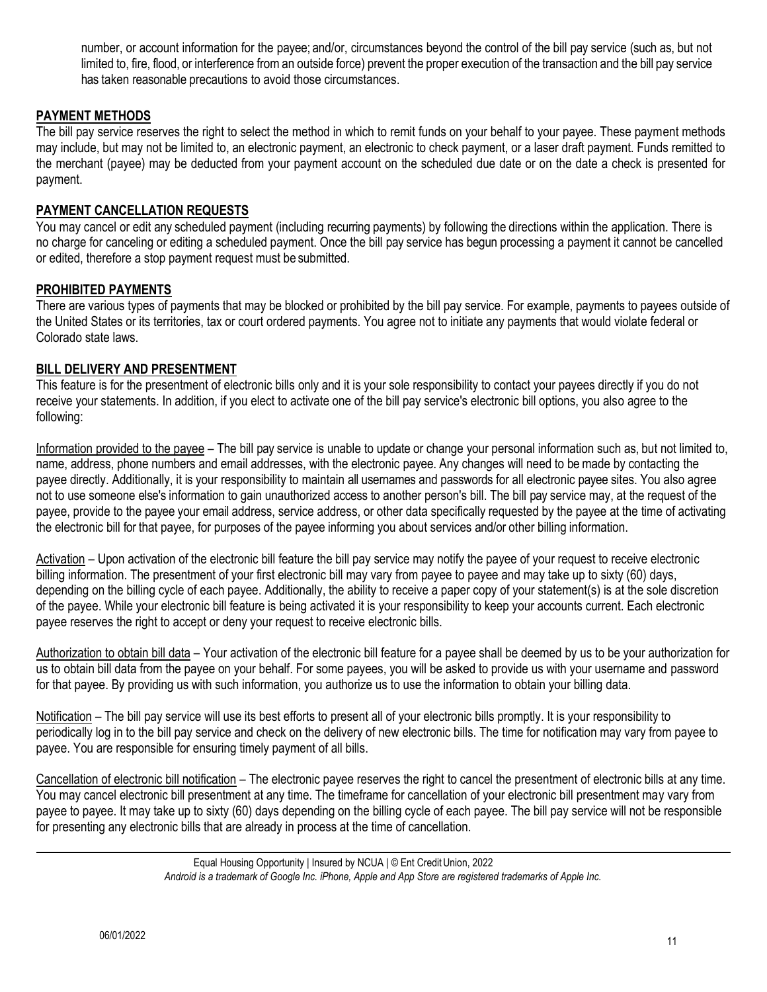number, or account information for the payee; and/or, circumstances beyond the control of the bill pay service (such as, but not limited to, fire, flood, or interference from an outside force) prevent the proper execution of the transaction and the bill pay service has taken reasonable precautions to avoid those circumstances.

## **PAYMENT METHODS**

 The bill pay service reserves the right to select the method in which to remit funds on your behalf to your payee. These payment methods the merchant (payee) may be deducted from your payment account on the scheduled due date or on the date a check is presented for may include, but may not be limited to, an electronic payment, an electronic to check payment, or a laser draft payment. Funds remitted to payment.

#### **PAYMENT CANCELLATION REQUESTS**

You may cancel or edit any scheduled payment (including recurring payments) by following the directions within the application. There is no charge for canceling or editing a scheduled payment. Once the bill pay service has begun processing a payment it cannot be cancelled or edited, therefore a stop payment request must be submitted.

#### **PROHIBITED PAYMENTS**

 the United States or its territories, tax or court ordered payments. You agree not to initiate any payments that would violate federal or There are various types of payments that may be blocked or prohibited by the bill pay service. For example, payments to payees outside of Colorado state laws.

#### **BILL DELIVERY AND PRESENTMENT**

 This feature is for the presentment of electronic bills only and it is your sole responsibility to contact your payees directly if you do not receive your statements. In addition, if you elect to activate one of the bill pay service's electronic bill options, you also agree to the following:

 payee directly. Additionally, it is your responsibility to maintain all usernames and passwords for all electronic payee sites. You also agree Information provided to the payee - The bill pay service is unable to update or change your personal information such as, but not limited to, name, address, phone numbers and email addresses, with the electronic payee. Any changes will need to be made by contacting the not to use someone else's information to gain unauthorized access to another person's bill. The bill pay service may, at the request of the payee, provide to the payee your email address, service address, or other data specifically requested by the payee at the time of activating the electronic bill for that payee, for purposes of the payee informing you about services and/or other billing information.

 billing information. The presentment of your first electronic bill may vary from payee to payee and may take up to sixty (60) days, Activation – Upon activation of the electronic bill feature the bill pay service may notify the payee of your request to receive electronic depending on the billing cycle of each payee. Additionally, the ability to receive a paper copy of your statement(s) is at the sole discretion of the payee. While your electronic bill feature is being activated it is your responsibility to keep your accounts current. Each electronic payee reserves the right to accept or deny your request to receive electronic bills.

Authorization to obtain bill data – Your activation of the electronic bill feature for a payee shall be deemed by us to be your authorization for us to obtain bill data from the payee on your behalf. For some payees, you will be asked to provide us with your username and password for that payee. By providing us with such information, you authorize us to use the information to obtain your billing data.

Notification – The bill pay service will use its best efforts to present all of your electronic bills promptly. It is your responsibility to periodically log in to the bill pay service and check on the delivery of new electronic bills. The time for notification may vary from payee to payee. You are responsible for ensuring timely payment of all bills.

Cancellation of electronic bill notification – The electronic payee reserves the right to cancel the presentment of electronic bills at any time. You may cancel electronic bill presentment at any time. The timeframe for cancellation of your electronic bill presentment may vary from payee to payee. It may take up to sixty (60) days depending on the billing cycle of each payee. The bill pay service will not be responsible for presenting any electronic bills that are already in process at the time of cancellation.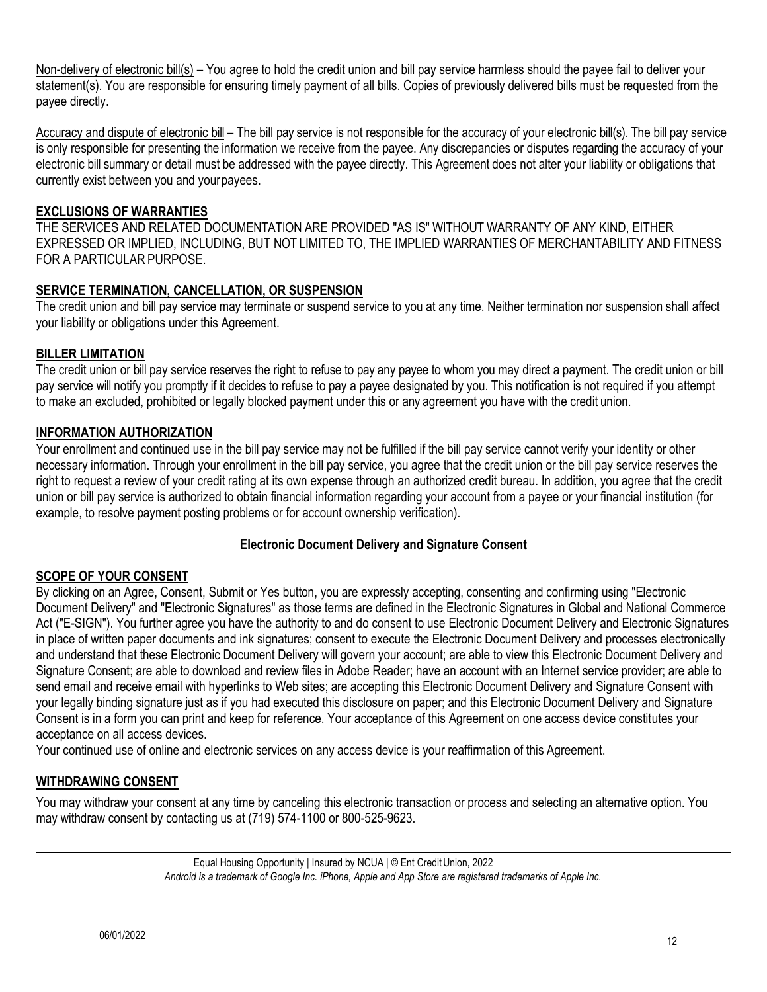Non-delivery of electronic bill(s) – You agree to hold the credit union and bill pay service harmless should the payee fail to deliver your statement(s). You are responsible for ensuring timely payment of all bills. Copies of previously delivered bills must be requested from the payee directly.

 is only responsible for presenting the information we receive from the payee. Any discrepancies or disputes regarding the accuracy of your electronic bill summary or detail must be addressed with the payee directly. This Agreement does not alter your liability or obligations that Accuracy and dispute of electronic bill – The bill pay service is not responsible for the accuracy of your electronic bill(s). The bill pay service currently exist between you and yourpayees.

## **EXCLUSIONS OF WARRANTIES**

 THE SERVICES AND RELATED DOCUMENTATION ARE PROVIDED "AS IS" WITHOUT WARRANTY OF ANY KIND, EITHER EXPRESSED OR IMPLIED, INCLUDING, BUT NOT LIMITED TO, THE IMPLIED WARRANTIES OF MERCHANTABILITY AND FITNESS FOR A PARTICULAR PURPOSE.

## **SERVICE TERMINATION, CANCELLATION, OR SUSPENSION**

The credit union and bill pay service may terminate or suspend service to you at any time. Neither termination nor suspension shall affect your liability or obligations under this Agreement.

# **BILLER LIMITATION**

The credit union or bill pay service reserves the right to refuse to pay any payee to whom you may direct a payment. The credit union or bill pay service will notify you promptly if it decides to refuse to pay a payee designated by you. This notification is not required if you attempt to make an excluded, prohibited or legally blocked payment under this or any agreement you have with the credit union.

# **INFORMATION AUTHORIZATION**

Your enrollment and continued use in the bill pay service may not be fulfilled if the bill pay service cannot verify your identity or other necessary information. Through your enrollment in the bill pay service, you agree that the credit union or the bill pay service reserves the right to request a review of your credit rating at its own expense through an authorized credit bureau. In addition, you agree that the credit union or bill pay service is authorized to obtain financial information regarding your account from a payee or your financial institution (for example, to resolve payment posting problems or for account ownership verification).

## **Electronic Document Delivery and Signature Consent**

## **SCOPE OF YOUR CONSENT**

 in place of written paper documents and ink signatures; consent to execute the Electronic Document Delivery and processes electronically Signature Consent; are able to download and review files in Adobe Reader; have an account with an Internet service provider; are able to By clicking on an Agree, Consent, Submit or Yes button, you are expressly accepting, consenting and confirming using "Electronic Document Delivery" and "Electronic Signatures" as those terms are defined in the Electronic Signatures in Global and National Commerce Act ("E-SIGN"). You further agree you have the authority to and do consent to use Electronic Document Delivery and Electronic Signatures and understand that these Electronic Document Delivery will govern your account; are able to view this Electronic Document Delivery and send email and receive email with hyperlinks to Web sites; are accepting this Electronic Document Delivery and Signature Consent with your legally binding signature just as if you had executed this disclosure on paper; and this Electronic Document Delivery and Signature Consent is in a form you can print and keep for reference. Your acceptance of this Agreement on one access device constitutes your acceptance on all access devices.

Your continued use of online and electronic services on any access device is your reaffirmation of this Agreement.

## **WITHDRAWING CONSENT**

You may withdraw your consent at any time by canceling this electronic transaction or process and selecting an alternative option. You may withdraw consent by contacting us at (719) 574-1100 or 800-525-9623.